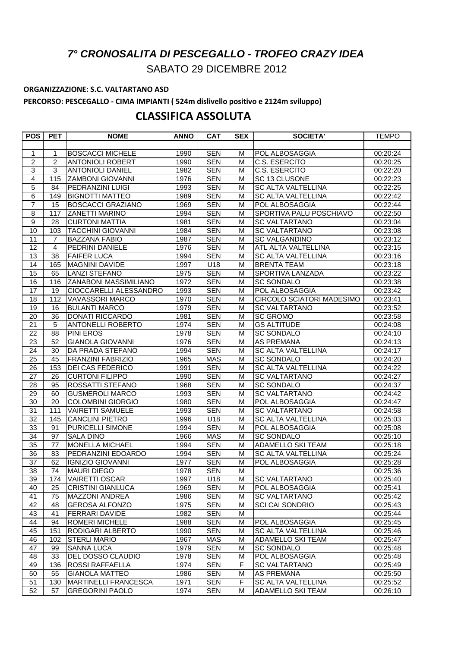## *7° CRONOSALITA DI PESCEGALLO - TROFEO CRAZY IDEA* SABATO 29 DICEMBRE 2012

## **ORGANIZZAZIONE: S.C. VALTARTANO ASD**

**PERCORSO: PESCEGALLO - CIMA IMPIANTI ( 524m dislivello positivo e 2124m sviluppo)**

## **CLASSIFICA ASSOLUTA**

| <b>POS</b>       | <b>PET</b>     | <b>NOME</b>                   | <b>ANNO</b> | <b>CAT</b> | <b>SEX</b> | <b>SOCIETA'</b>           | <b>TEMPO</b> |
|------------------|----------------|-------------------------------|-------------|------------|------------|---------------------------|--------------|
|                  |                |                               |             |            |            |                           |              |
| 1                | 1              | <b>BOSCACCI MICHELE</b>       | 1990        | <b>SEN</b> | M          | POL ALBOSAGGIA            | 00:20:24     |
| $\overline{2}$   | $\overline{2}$ | <b>ANTONIOLI ROBERT</b>       | 1990        | <b>SEN</b> | м          | <b>C.S. ESERCITO</b>      | 00:20:25     |
| $\overline{3}$   | 3              | <b>ANTONIOLI DANIEL</b>       | 1982        | <b>SEN</b> | М          | C.S. ESERCITO             | 00:22:20     |
| $\overline{4}$   | 115            | <b>ZAMBONI GIOVANNI</b>       | 1976        | <b>SEN</b> | М          | SC 13 CLUSONE             | 00:22:23     |
| $\overline{5}$   | 84             | PEDRANZINI LUIGI              | 1993        | <b>SEN</b> | M          | SC ALTA VALTELLINA        | 00:22:25     |
| 6                | 149            | <b>BIGNOTTI MATTEO</b>        | 1989        | <b>SEN</b> | М          | <b>SC ALTA VALTELLINA</b> | 00:22:42     |
| $\overline{7}$   | 15             | <b>BOSCACCI GRAZIANO</b>      | 1969        | <b>SEN</b> | M          | POL ALBOSAGGIA            | 00:22:44     |
| 8                | 117            | <b>ZANETTI MARINO</b>         | 1994        | <b>SEN</b> | M          | SPORTIVA PALU POSCHIAVO   | 00:22:50     |
| $\boldsymbol{9}$ | 28             | <b>CURTONI MATTIA</b>         | 1981        | <b>SEN</b> | м          | <b>SC VALTARTANO</b>      | 00:23:04     |
| 10               | 103            | <b>TACCHINI GIOVANNI</b>      | 1984        | <b>SEN</b> | М          | <b>SC VALTARTANO</b>      | 00:23:08     |
| 11               | $\overline{7}$ | <b>BAZZANA FABIO</b>          | 1987        | <b>SEN</b> | м          | <b>SC VALGANDINO</b>      | 00:23:12     |
| $\overline{12}$  | $\overline{4}$ | PEDRINI DANIELE               | 1976        | <b>SEN</b> | M          | ATL ALTA VALTELLINA       | 00:23:15     |
| 13               | 38             | <b>FAIFER LUCA</b>            | 1994        | <b>SEN</b> | М          | <b>SC ALTA VALTELLINA</b> | 00:23:16     |
| 14               | 165            | <b>MAGNINI DAVIDE</b>         | 1997        | U18        | M          | <b>BRENTA TEAM</b>        | 00:23:18     |
| 15               | 65             | <b>LANZI STEFANO</b>          | 1975        | <b>SEN</b> | M          | SPORTIVA LANZADA          | 00:23:22     |
| 16               | 116            | <b>ZANABONI MASSIMILIANO</b>  | 1972        | <b>SEN</b> | M          | <b>SC SONDALO</b>         | 00:23:38     |
| 17               | 19             | <b>CIOCCARELLI ALESSANDRO</b> | 1993        | <b>SEN</b> | M          | POL ALBOSAGGIA            | 00:23:42     |
| 18               | 112            | VAVASSORI MARCO               | 1970        | <b>SEN</b> | М          | CIRCOLO SCIATORI MADESIMO | 00:23:41     |
| 19               | 16             | <b>BULANTI MARCO</b>          | 1979        | <b>SEN</b> | М          | <b>SC VALTARTANO</b>      | 00:23:52     |
| 20               | 36             | <b>DONATI RICCARDO</b>        | 1981        | <b>SEN</b> | М          | <b>SC GROMO</b>           | 00:23:58     |
| $\overline{21}$  | $\overline{5}$ | <b>ANTONELLI ROBERTO</b>      | 1974        | <b>SEN</b> | M          | <b>GS ALTITUDE</b>        | 00:24:08     |
| 22               | 88             | <b>PINI EROS</b>              | 1978        | <b>SEN</b> | M          | <b>SC SONDALO</b>         | 00:24:10     |
| 23               | 52             | <b>GIANOLA GIOVANNI</b>       | 1976        | <b>SEN</b> | M          | AS PREMANA                | 00:24:13     |
| 24               | 30             | DA PRADA STEFANO              | 1994        | <b>SEN</b> | M          | <b>SC ALTA VALTELLINA</b> | 00:24:17     |
| 25               | 45             | <b>FRANZINI FABRIZIO</b>      | 1965        | <b>MAS</b> | M          | <b>SC SONDALO</b>         | 00:24:20     |
| 26               | 153            | <b>DEI CAS FEDERICO</b>       | 1991        | <b>SEN</b> | М          | SC ALTA VALTELLINA        | 00:24:22     |
| 27               | 26             | <b>CURTONI FILIPPO</b>        | 1990        | <b>SEN</b> | M          | <b>SC VALTARTANO</b>      | 00:24:27     |
| $\overline{28}$  | 95             | ROSSATTI STEFANO              | 1968        | <b>SEN</b> | M          | <b>SC SONDALO</b>         | 00:24:37     |
| 29               | 60             | <b>GUSMEROLI MARCO</b>        | 1993        | <b>SEN</b> | M          | <b>SC VALTARTANO</b>      | 00:24:42     |
| 30               | 20             | <b>COLOMBINI GIORGIO</b>      | 1980        | <b>SEN</b> | M          | POL ALBOSAGGIA            | 00:24:47     |
| 31               | 111            | <b>VAIRETTI SAMUELE</b>       | 1993        | <b>SEN</b> | М          | <b>SC VALTARTANO</b>      | 00:24:58     |
| $\overline{32}$  | 145            | <b>CANCLINI PIETRO</b>        | 1996        | U18        | М          | SC ALTA VALTELLINA        | 00:25:03     |
| 33               | 91             | <b>PURICELLI SIMONE</b>       | 1994        | <b>SEN</b> | М          | POL ALBOSAGGIA            | 00:25:08     |
| 34               | 97             | <b>SALA DINO</b>              | 1966        | <b>MAS</b> | M          | <b>SC SONDALO</b>         | 00:25:10     |
| 35               | 77             | <b>MONELLA MICHAEL</b>        | 1994        | <b>SEN</b> | M          | ADAMELLO SKI TEAM         | 00:25:18     |
| 36               | 83             | PEDRANZINI EDOARDO            | 1994        | <b>SEN</b> | М          | SC ALTA VALTELLINA        | 00:25:24     |
| 37               | 62             | <b>IGNIZIO GIOVANNI</b>       | 1977        | <b>SEN</b> | M          | POL ALBOSAGGIA            | 00:25:28     |
| 38               | 74             | <b>MAURI DIEGO</b>            | 1978        | <b>SEN</b> | м          |                           | 00:25:36     |
| 39               | 174            | <b>VAIRETTI OSCAR</b>         | 1997        | U18        | M          | <b>SC VALTARTANO</b>      | 00:25:40     |
| 40               | 25             | <b>CRISTINI GIANLUCA</b>      | 1969        | <b>SEN</b> | М          | POL ALBOSAGGIA            | 00:25:41     |
| 41               | 75             | <b>MAZZONI ANDREA</b>         | 1986        | <b>SEN</b> | М          | <b>SC VALTARTANO</b>      | 00:25:42     |
| 42               | 48             | <b>GEROSA ALFONZO</b>         | 1975        | <b>SEN</b> | м          | <b>SCI CAI SONDRIO</b>    | 00:25:43     |
| 43               | 41             | <b>FERRARI DAVIDE</b>         | 1982        | <b>SEN</b> | M          |                           | 00:25:44     |
| 44               | 94             | <b>ROMERI MICHELE</b>         | 1988        | <b>SEN</b> | M          | POL ALBOSAGGIA            | 00:25:45     |
| 45               | 151            | RODIGARI ALBERTO              | 1990        | <b>SEN</b> | м          | <b>SC ALTA VALTELLINA</b> | 00:25:46     |
| 46               | 102            | <b>STERLI MARIO</b>           | 1967        | <b>MAS</b> | M          | ADAMELLO SKI TEAM         | 00:25:47     |
| 47               | 99             | <b>SANNA LUCA</b>             | 1979        | <b>SEN</b> | M          | <b>SC SONDALO</b>         | 00:25:48     |
| 48               | 33             | <b>DEL DOSSO CLAUDIO</b>      | 1978        | <b>SEN</b> | M          | POL ALBOSAGGIA            | 00:25:48     |
| 49               | 136            | <b>ROSSI RAFFAELLA</b>        | 1974        | <b>SEN</b> | F          | <b>SC VALTARTANO</b>      | 00:25:49     |
| 50               | 55             | <b>GIANOLA MATTEO</b>         | 1986        | <b>SEN</b> | M          | <b>AS PREMANA</b>         | 00:25:50     |
| 51               | 130            | <b>MARTINELLI FRANCESCA</b>   | 1971        | <b>SEN</b> | F          | <b>SC ALTA VALTELLINA</b> | 00:25:52     |
| 52               | 57             | <b>GREGORINI PAOLO</b>        | 1974        | SEN        | м          | ADAMELLO SKI TEAM         | 00:26:10     |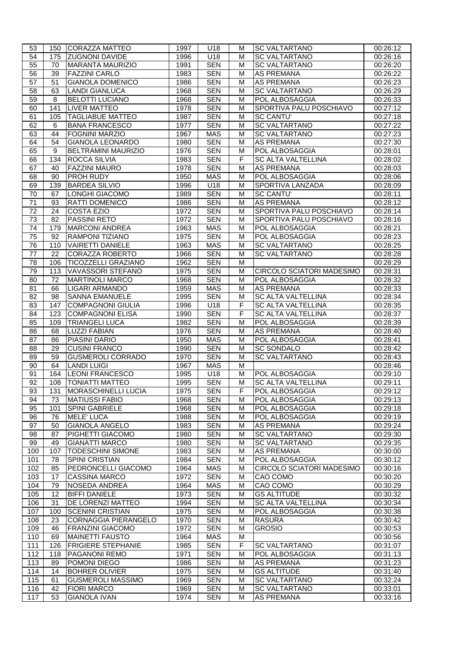| 53              |                 | 150 CORAZZA MATTEO                                     | 1997         | U18                      | м      | <b>SC VALTARTANO</b>                         | 00:26:12             |
|-----------------|-----------------|--------------------------------------------------------|--------------|--------------------------|--------|----------------------------------------------|----------------------|
| 54              | 175             | <b>ZUGNONI DAVIDE</b>                                  | 1996         | U18                      | м      | <b>SC VALTARTANO</b>                         | 00:26:16             |
| 55              | 70              | <b>MARANTA MAURIZIO</b>                                | 1991         | <b>SEN</b>               | M      | <b>SC VALTARTANO</b>                         | 00:26:20             |
| 56              | 39              | <b>FAZZINI CARLO</b>                                   | 1983         | <b>SEN</b>               | M      | <b>AS PREMANA</b>                            | 00:26:22             |
| 57              | 51              | <b>GIANOLA DOMENICO</b>                                | 1986         | <b>SEN</b>               | м      | AS PREMANA                                   | 00:26:23             |
| 58              | 63              | <b>LANDI GIANLUCA</b>                                  | 1968         | <b>SEN</b>               | М      | <b>SC VALTARTANO</b>                         | 00:26:29             |
| 59              | 8               | <b>BELOTTI LUCIANO</b>                                 | 1968         | <b>SEN</b>               | м      | POL ALBOSAGGIA                               | 00:26:33             |
| 60              | 141             | <b>LIVER MATTEO</b>                                    | 1978         | <b>SEN</b>               | м      | SPORTIVA PALU POSCHIAVO                      | 00:27:12             |
| 61              | 105             | <b>TAGLIABUE MATTEO</b>                                | 1987         | <b>SEN</b>               | M      | <b>SC CANTU'</b>                             | 00:27:18             |
| 62              | 6               | <b>BANA FRANCESCO</b>                                  | 1977         | <b>SEN</b>               | M      | <b>SC VALTARTANO</b>                         | 00:27:22             |
| 63              | 44              | <b>FOGNINI MARZIO</b>                                  | 1967         | <b>MAS</b>               | м      | <b>SC VALTARTANO</b>                         | 00:27:23             |
| 64              | 54              | <b>GIANOLA LEONARDO</b>                                | 1980         | <b>SEN</b>               | M      | <b>AS PREMANA</b>                            | 00:27:30             |
| 65              | 9               | <b>BELTRAMINI MAURIZIO</b>                             | 1976         | <b>SEN</b>               | м      | POL ALBOSAGGIA                               | 00:28:01             |
| 66              | 134             | ROCCA SILVIA                                           | 1983         | <b>SEN</b>               | F      | SC ALTA VALTELLINA                           | 00:28:02             |
| 67              | 40              | <b>FAZZINI MAURO</b>                                   | 1978         | <b>SEN</b>               | м      | <b>AS PREMANA</b>                            | 00:28:03             |
| 68              | 90              | <b>PROH RUDY</b>                                       | 1950         | <b>MAS</b>               | м      | POL ALBOSAGGIA                               | 00:28:06             |
| 69              | 139             | <b>BARDEA SILVIO</b>                                   | 1996         | U18                      | M      | SPORTIVA LANZADA                             | 00:28:09             |
| $\overline{70}$ | 67              | <b>LONGHI GIACOMO</b>                                  | 1989         | <b>SEN</b>               | M      | <b>SC CANTU'</b>                             | 00:28:11             |
| $\overline{71}$ | 93              | <b>RATTI DOMENICO</b>                                  | 1986         | <b>SEN</b>               | M      | <b>AS PREMANA</b>                            | 00:28:12             |
| 72              | 24              | <b>COSTA EZIO</b>                                      | 1972         | <b>SEN</b>               | м      | SPORTIVA PALU POSCHIAVO                      | 00:28:14             |
| 73              | 82              | <b>PASSINI RETO</b>                                    | 1972         | <b>SEN</b>               | M      | SPORTIVA PALU POSCHIAVO                      | 00:28:16             |
| 74              | 179             | <b>MARCONI ANDREA</b>                                  | 1963         | <b>MAS</b>               | м      | POL ALBOSAGGIA                               | 00:28:21             |
| 75              | 92              | RAMPONI TIZIANO                                        | 1975         | <b>SEN</b>               | M      | POL ALBOSAGGIA                               | 00:28:23             |
| 76              | 110             | <b>VAIRETTI DANIELE</b>                                | 1963         | <b>MAS</b>               | м      | <b>SC VALTARTANO</b><br><b>SC VALTARTANO</b> | 00:28:25             |
| 77              | 22              | <b>CORAZZA ROBERTO</b>                                 | 1966         | <b>SEN</b>               | M      |                                              | 00:28:28             |
| 78<br>79        | 106<br>113      | <b>TICOZZELLI GRAZIANO</b><br><b>VAVASSORI STEFANO</b> | 1962<br>1975 | <b>SEN</b><br><b>SEN</b> | M<br>м | CIRCOLO SCIATORI MADESIMO                    | 00:28:29<br>00:28:31 |
| 80              | $\overline{72}$ | <b>MARTINOLI MARCO</b>                                 | 1968         | <b>SEN</b>               | м      | POL ALBOSAGGIA                               | 00:28:32             |
| 81              | 66              | LIGARI ARMANDO                                         | 1959         | <b>MAS</b>               | м      | <b>AS PREMANA</b>                            | 00:28:33             |
| 82              | 98              | <b>SANNA EMANUELE</b>                                  | 1995         | <b>SEN</b>               | M      | SC ALTA VALTELLINA                           | 00:28:34             |
| 83              | 147             | <b>COMPAGNONI GIULIA</b>                               | 1996         | U18                      | F      | <b>SC ALTA VALTELLINA</b>                    | 00:28:35             |
| 84              | 123             | <b>COMPAGNONI ELISA</b>                                | 1990         | <b>SEN</b>               | F      | <b>SC ALTA VALTELLINA</b>                    | 00:28:37             |
| 85              | 109             | <b>TRIANGELI LUCA</b>                                  | 1982         | <b>SEN</b>               | M      | POL ALBOSAGGIA                               | 00:28:39             |
| 86              | 68              | <b>LUZZI FABIAN</b>                                    | 1976         | <b>SEN</b>               | м      | <b>AS PREMANA</b>                            | 00:28:40             |
| $\overline{87}$ | 86              | PIASINI DARIO                                          | 1950         | <b>MAS</b>               | М      | POL ALBOSAGGIA                               | 00:28:41             |
| 88              | 29              | <b>CUSINI FRANCO</b>                                   | 1990         | <b>SEN</b>               | м      | <b>SC SONDALO</b>                            | 00:28:42             |
| 89              | 59              | <b>GUSMEROLI CORRADO</b>                               | 1970         | <b>SEN</b>               | M      | <b>SC VALTARTANO</b>                         | 00:28:43             |
| 90              | 64              | <b>LANDI LUIGI</b>                                     | 1967         | <b>MAS</b>               | м      |                                              | 00:28:46             |
| 91              | 164             | <b>LEONI FRANCESCO</b>                                 | 1995         | U18                      | M      | POL ALBOSAGGIA                               | 00:29:10             |
| 92              | 108             | <b>TONIATTI MATTEO</b>                                 | 1995         | <b>SEN</b>               | M      | <b>SC ALTA VALTELLINA</b>                    | 00:29:11             |
| 93              | 131             | <b>MORASCHINELLI LUCIA</b>                             | 1975         | SEN                      | F      | POL ALBOSAGGIA                               | 00:29:12             |
| 94              | 73              | <b>MATIUSSI FABIO</b>                                  | 1968         | <b>SEN</b>               | М      | POL ALBOSAGGIA                               | 00:29:13             |
| 95              | 101             | <b>SPINI GABRIELE</b>                                  | 1968         | <b>SEN</b>               | м      | POL ALBOSAGGIA                               | 00:29:18             |
| 96              | 76              | <b>MELE' LUCA</b>                                      | 1988         | <b>SEN</b>               | М      | POL ALBOSAGGIA                               | 00:29:19             |
| 97              | 50              | <b>GIANOLA ANGELO</b>                                  | 1983         | <b>SEN</b>               | M      | <b>AS PREMANA</b>                            | 00:29:24             |
| 98              | 87              | PIGHETTI GIACOMO                                       | 1980         | <b>SEN</b>               | M      | <b>SC VALTARTANO</b>                         | 00:29:30             |
| 99              | 49              | <b>GIANATTI MARCO</b>                                  | 1980         | <b>SEN</b>               | M      | <b>SC VALTARTANO</b>                         | 00:29:35             |
| 100             | 107             | <b>TODESCHINI SIMONE</b>                               | 1983         | <b>SEN</b>               | M      | <b>AS PREMANA</b>                            | 00:30:00             |
| 101             | 78              | <b>SPINI CRISTIAN</b>                                  | 1984         | <b>SEN</b>               | M      | POL ALBOSAGGIA                               | 00:30:12             |
| 102             | 85              | PEDRONCELLI GIACOMO                                    | 1964         | <b>MAS</b>               | M      | CIRCOLO SCIATORI MADESIMO                    | 00:30:16             |
| 103             | 17              | <b>CASSINA MARCO</b>                                   | 1972         | <b>SEN</b>               | M      | CAO COMO                                     | 00:30:20             |
| 104             | 79              | <b>NOSEDA ANDREA</b>                                   | 1964         | <b>MAS</b>               | М      | CAO COMO                                     | 00:30:29             |
| 105             | $\overline{12}$ | <b>BIFFI DANIELE</b>                                   | 1973         | <b>SEN</b>               | M      | <b>GS ALTITUDE</b>                           | 00:30:32             |
| 106             | $\overline{31}$ | DE LORENZI MATTEO                                      | 1994         | <b>SEN</b>               | M      | <b>SC ALTA VALTELLINA</b>                    | 00:30:34             |
| 107             | 100             | <b>SCENINI CRISTIAN</b>                                | 1975         | <b>SEN</b>               | M      | POL ALBOSAGGIA                               | 00:30:38             |
| 108             | 23              | <b>CORNAGGIA PIERANGELO</b>                            | 1970         | <b>SEN</b>               | M      | <b>RASURA</b>                                | 00:30:42             |
| 109             | 46              | <b>FRANZINI GIACOMO</b>                                | 1972         | <b>SEN</b>               | M      | <b>GROSIO</b>                                | 00:30:53             |
| 110             | 69              | <b>MAINETTI FAUSTO</b>                                 | 1964         | <b>MAS</b>               | м      |                                              | 00:30:56             |
| 111             | 126             | <b>FRIGIERE STEPHANIE</b>                              | 1985         | <b>SEN</b>               | F      | <b>SC VALTARTANO</b>                         | 00:31:07             |
| 112             | 118             | <b>PAGANONI REMO</b>                                   | 1971         | <b>SEN</b>               | м      | POL ALBOSAGGIA                               | 00:31:13             |
| 113             | 89              | POMONI DIEGO                                           | 1986         | <b>SEN</b>               | M      | <b>AS PREMANA</b>                            | 00:31:23             |
| 114             | 14              | <b>BOHRER OLIVIER</b>                                  | 1975         | <b>SEN</b>               | M      | <b>GS ALTITUDE</b>                           | 00:31:40             |
| 115             | 61              | <b>GUSMEROLI MASSIMO</b>                               | 1969         | <b>SEN</b>               | M      | <b>SC VALTARTANO</b>                         | 00:32:24             |
| 116             | 42              | <b>FIORI MARCO</b>                                     | 1969         | <b>SEN</b>               | M      | <b>SC VALTARTANO</b>                         | 00:33:01             |
| 117             | 53              | <b>GIANOLA IVAN</b>                                    | 1974         | <b>SEN</b>               | M      | AS PREMANA                                   | 00:33:16             |